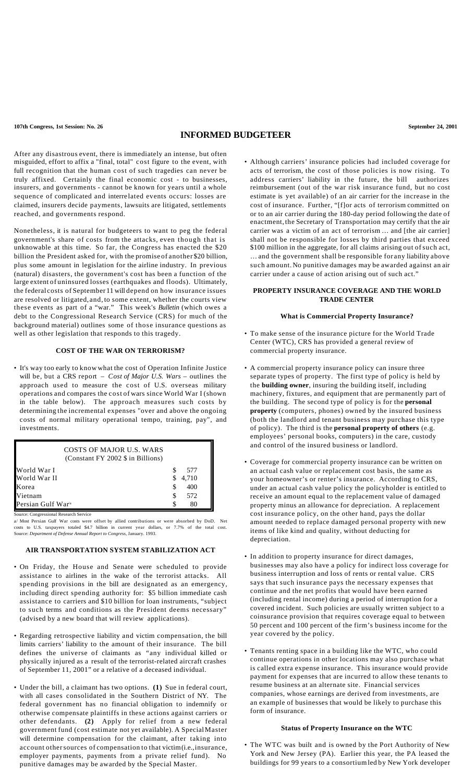**107th Congress, 1st Session: No. 26 September 24, 2001**

# **INFORMED BUDGETEER**

After any disastrous event, there is immediately an intense, but often misguided, effort to affix a "final, total" cost figure to the event, with full recognition that the human cost of such tragedies can never be truly affixed. Certainly the final economic cost - to businesses, insurers, and governments - cannot be known for years until a whole sequence of complicated and interrelated events occurs: losses are claimed, insurers decide payments, lawsuits are litigated, settlements reached, and governments respond.

Nonetheless, it is natural for budgeteers to want to peg the federal government's share of costs from the attacks, even though that is unknowable at this time. So far, the Congress has enacted the \$20 billion the President asked for, with the promise of another \$20 billion, plus some amount in legislation for the airline industry. In previous (natural) disasters, the government's cost has been a function of the large extent of uninsured losses (earthquakes and floods). Ultimately, the federal costs of September 11 will depend on how insurance issues are resolved or litigated, and, to some extent, whether the courts view these events as part of a "war." This week's *Bulletin* (which owes a debt to the Congressional Research Service (CRS) for much of the background material) outlines some of those insurance questions as well as other legislation that responds to this tragedy.

# **COST OF THE WAR ON TERRORISM?**

• It's way too early to know what the cost of Operation Infinite Justice will be, but a CRS report – *Cost of Major U.S. Wars* – outlines the approach used to measure the cost of U.S. overseas military operations and compares the cost of wars since World War I (shown in the table below). The approach measures such costs by determining the incremental expenses "over and above the ongoing costs of normal military operational tempo, training, pay", and investments.

| COSTS OF MAJOR U.S. WARS<br>(Constant FY 2002 \$ in Billions) |    |       |  |
|---------------------------------------------------------------|----|-------|--|
| World War I                                                   | S  | 577   |  |
| World War II                                                  |    | 4,710 |  |
| Korea                                                         | S. | 400   |  |
| Vietnam                                                       | S  | 572   |  |
| Persian Gulf War <sup>'a</sup>                                |    | 80    |  |

Congressional Research Service a/ Most Persian Gulf War costs were offset by allied contributions or were absorbed by DoD. Net costs to U.S. taxpayers totaled \$4.7 billion in current year dollars, or 7.7% of the total cost.

Source: *Department of Defense Annual Report to Congress*, January. 1993.

#### **AIR TRANSPORTATION SYSTEM STABILIZATION ACT**

- On Friday, the House and Senate were scheduled to provide assistance to airlines in the wake of the terrorist attacks. All spending provisions in the bill are designated as an emergency, including direct spending authority for: \$5 billion immediate cash assistance to carriers and \$10 billion for loan instruments, "subject to such terms and conditions as the President deems necessary" (advised by a new board that will review applications).
- Regarding retrospective liability and victim compensation, the bill limits carriers' liability to the amount of their insurance. The bill defines the universe of claimants as "any individual killed or physically injured as a result of the terrorist-related aircraft crashes of September 11, 2001" or a relative of a deceased individual.
- Under the bill, a claimant has two options. **(1)** Sue in federal court, with all cases consolidated in the Southern District of NY. The federal government has no financial obligation to indemnify or otherwise compensate plaintiffs in these actions against carriers or other defendants. **(2)** Apply for relief from a new federal government fund (cost estimate not yet available). A SpecialMaster will determine compensation for the claimant, after taking into account othersources of compensation to that victim(i.e.,insurance, employer payments, payments from a private relief fund). No punitive damages may be awarded by the Special Master.

• Although carriers' insurance policies had included coverage for acts of terrorism, the cost of those policies is now rising. To address carriers' liability in the future, the bill authorizes reimbursement (out of the war risk insurance fund, but no cost estimate is yet available) of an air carrier for the increase in the cost of insurance. Further, "[f]or acts of terrorism committed on or to an air carrier during the 180-day period following the date of enactment, the Secretary of Transportation may certify that the air carrier was a victim of an act of terrorism … and [the air carrier] shall not be responsible for losses by third parties that exceed \$100 million in the aggregate, for all claims arising out of such act, …and the government shall be responsible for any liability above such amount.No punitive damages may be awarded against an air carrier under a cause of action arising out of such act."

# **PROPERTY INSURANCE COVERAGE AND THE WORLD TRADE CENTER**

# **What is Commercial Property Insurance?**

- To make sense of the insurance picture for the World Trade Center (WTC), CRS has provided a general review of commercial property insurance.
- A commercial property insurance policy can insure three separate types of property. The first type of policy is held by the **building owner**, insuring the building itself, including machinery, fixtures, and equipment that are permanently part of the building. The second type of policy is for the **personal property** (computers, phones) owned by the insured business (both the landlord and tenant business may purchase this type of policy). The third is the **personal property of others** (e.g. employees' personal books, computers) in the care, custody and control of the insured business or landlord.
- Coverage for commercial property insurance can be written on an actual cash value or replacement cost basis, the same as your homeowner's or renter's insurance. According to CRS, under an actual cash value policy the policyholder is entitled to receive an amount equal to the replacement value of damaged property minus an allowance for depreciation. A replacement cost insurance policy, on the other hand, pays the dollar amount needed to replace damaged personal property with new items of like kind and quality, without deducting for depreciation.
- In addition to property insurance for direct damages, businesses may also have a policy for indirect loss coverage for business interruption and loss of rents or rental value. CRS says that such insurance pays the necessary expenses that continue and the net profits that would have been earned (including rental income) during a period of interruption for a covered incident. Such policies are usually written subject to a coinsurance provision that requires coverage equal to between 50 percent and 100 percent of the firm's business income for the year covered by the policy.
- Tenants renting space in a building like the WTC, who could continue operations in other locations may also purchase what is called extra expense insurance. This insurance would provide payment for expenses that are incurred to allow these tenants to resume business at an alternate site. Financial services companies, whose earnings are derived from investments, are an example of businesses that would be likely to purchase this form of insurance.

# **Status of Property Insurance on the WTC**

• The WTC was built and is owned by the Port Authority of New York and New Jersey (PA). Earlier this year, the PA leased the buildings for 99 years to a consortiumled by New York developer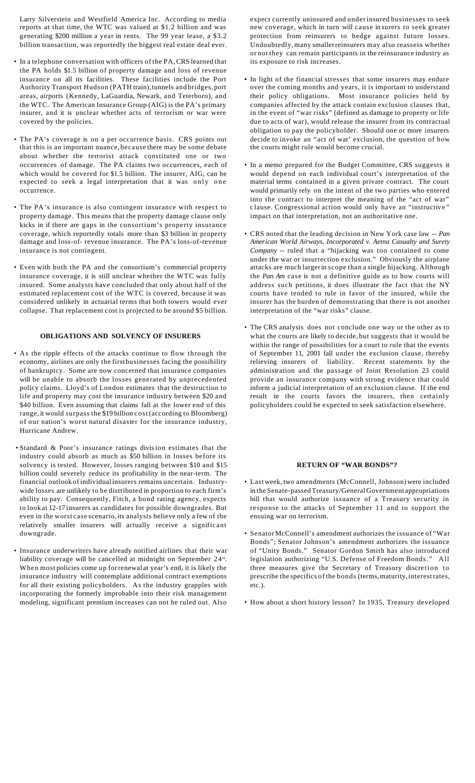Larry Silverstein and Westfield America Inc. According to media reports at that time, the WTC was valued at \$1.2 billion and was generating \$200 million a year in rents. The 99 year lease, a \$3.2 billion transaction, was reportedly the biggest real estate deal ever.

- In a telephone conversation with officers of the PA,CRS learned that the PA holds \$1.5 billion of property damage and loss of revenue insurance on all its facilities. These facilities include the Port Authority Transport Hudson (PATH train),tunnels and bridges, port areas, airports (Kennedy, LaGuardia, Newark, and Teterboro), and the WTC. The American Insurance Group (AIG) is the PA's primary insurer, and it is unclear whether acts of terrorism or war were covered by the policies.
- The PA's coverage is on a per occurrence basis. CRS points out that this is an important nuance, because there may be some debate about whether the terrorist attack constituted one or two occurrences of damage. The PA claims two occurrences, each of which would be covered for \$1.5 billion. The insurer, AIG, can be expected to seek a legal interpretation that it was only one occurrence.
- The PA's insurance is also contingent insurance with respect to property damage. This means that the property damage clause only kicks in if there are gaps in the consortium's property insurance coverage, which reportedly totals more than \$3 billion in property damage and loss-of- revenue insurance. The PA's loss-of-revenue insurance is not contingent.
- Even with both the PA and the consortium's commercial property insurance coverage, it is still unclear whether the WTC was fully insured. Some analysts have concluded that only about half of the estimated replacement cost of the WTC is covered, because it was considered unlikely in actuarial terms that both towers would ever collapse. That replacement cost is projected to be around \$5 billion.

#### **OBLIGATIONS AND SOLVENCY OF INSURERS**

- As the ripple effects of the attacks continue to flow through the economy, airlines are only the first businesses facing the possibility of bankruptcy. Some are now concerned that insurance companies will be unable to absorb the losses generated by unprecedented policy claims. Lloyd's of London estimates that the destruction to life and property may cost the insurance industry between \$20 and \$40 billion. Even assuming that claims fall at the lower end of this range, it would surpass the \$19 billion cost (according to Bloomberg) of our nation's worst natural disaster for the insurance industry, Hurricane Andrew.
- Standard & Poor's insurance ratings division estimates that the industry could absorb as much as \$50 billion in losses before its solvency is tested. However, losses ranging between \$10 and \$15 billion could severely reduce its profitability in the near-term. The financial outlook of individualinsurers remains uncertain. Industrywide losses are unlikely to be distributed in proportion to each firm's ability to pay. Consequently, Fitch, a bond rating agency, expects to look at 12-17 insurers as candidates for possible downgrades. But even in the worst case scenario, its analysts believe only a few of the relatively smaller insurers will actually receive a significant downgrade.
- Insurance underwriters have already notified airlines that their war liability coverage will be cancelled at midnight on September 24<sup>th</sup>. When most policies come up forrenewal at year's end, it is likely the insurance industry will contemplate additional contract exemptions for all their existing policyholders. As the industry grapples with incorporating the formerly improbable into their risk management modeling, significant premium increases can not be ruled out. Also

expect currently uninsured and underinsured businesses to seek new coverage, which in turn will cause in surers to seek greater protection from reinsurers to hedge against future losses. Undoubtedly,many smallerreinsurers may also reassess whether or not they can remain participants in the reinsurance industry as its exposure to risk increases.

- **•** In light of the financial stresses that some insurers may endure over the coming months and years, it is important to understand their policy obligations. Most insurance policies held by companies affected by the attack contain exclusion clauses that, in the event of "war risks" (defined as damage to property or life due to acts of war), would release the insurer from its contractual obligation to pay the policyholder. Should one or more insurers decide to invoke an "act of war' exclusion, the question of how the courts might rule would become crucial.
- In a memo prepared for the Budget Committee, CRS suggests it would depend on each individual court's interpretation of the material terms contained in a given private contract. The court would primarily rely on the intent of the two parties who entered into the contract to interpret the meaning of the "act of war" c lause. Congressional action would only have an "instructive" impact on that interpretation, not an authoritative one.
- CRS noted that the leading decision in New York case law -- *Pan American World Airways, Incorporated v. Aetna Casualty and Surety Company* -- ruled that a "hijacking was too contained to come under the war or insurrection exclusion." Obviously the airplane attacks are much largerin scope than a single hijacking. Although the *Pan Am* case is not a definitive guide as to how courts will address such petitions, it does illustrate the fact that the NY courts have tended to rule in favor of the insured, while the insurer has the burden of demonstrating that there is not another interpretation of the "war risks" clause.
- The CRS analysis does not conclude one way or the other as to what the courts are likely to decide, but suggests that it would be within the range of possibilities for a court to rule that the events of September 11, 2001 fall under the exclusion clause, thereby relieving insurers of liability. Recent statements by the administration and the passage of Joint Resolution 23 could provide an insurance company with strong evidence that could inform a judicial interpretation of an exclusion clause. If the end result in the courts favors the insurers, then certainly policyholders could be expected to seek satisfaction elsewhere.

#### **RETURN OF "WAR BONDS"?**

- Last week, two amendments (McConnell, Johnson)were included in the Senate-passed Treasury/General Government appropriations bill that would authorize issuance of a Treasury security in response to the attacks of September 11 and to support the ensuing war on terrorism.
- SenatorMcConnell's amendment authorizes the issuance of "War Bonds"; Senator Johnson's amendment authorizes the issuance of "Unity Bonds." Senator Gordon Smith has also introduced legislation authorizing "U.S. Defense of Freedom Bonds." All three measures give the Secretary of Treasury discretion to prescribe the specifics of the bonds (terms,maturity,interestrates, etc.).
- How about a short history lesson? In 1935, Treasury developed